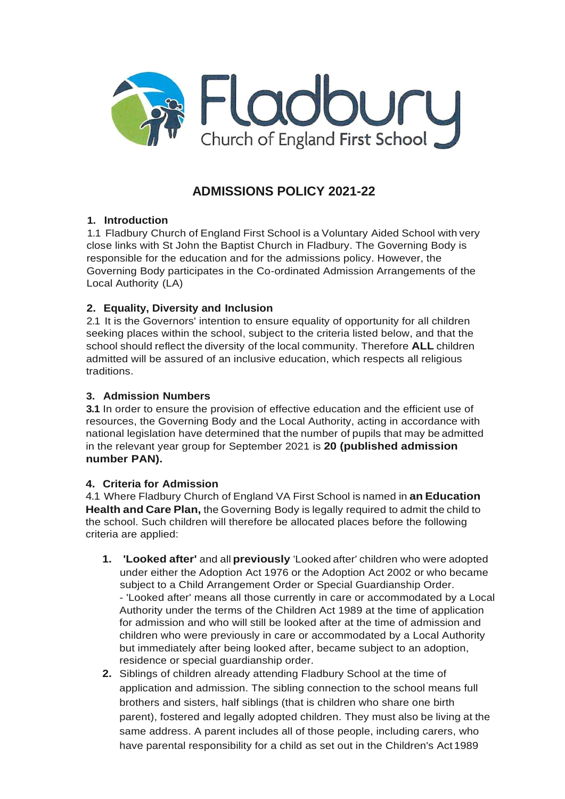

# **ADMISSIONS POLICY 2021-22**

# **1. Introduction**

1.1 Fladbury Church of England First School is a Voluntary Aided School with very close links with St John the Baptist Church in Fladbury. The Governing Body is responsible for the education and for the admissions policy. However, the Governing Body participates in the Co-ordinated Admission Arrangements of the Local Authority (LA)

# **2. Equality, Diversity and Inclusion**

2.1 It is the Governors' intention to ensure equality of opportunity for all children seeking places within the school, subject to the criteria listed below, and that the school should reflect the diversity of the local community. Therefore **ALL** children admitted will be assured of an inclusive education, which respects all religious traditions.

### **3. Admission Numbers**

**3.1** In order to ensure the provision of effective education and the efficient use of resources, the Governing Body and the Local Authority, acting in accordance with national legislation have determined that the number of pupils that may be admitted in the relevant year group for September 2021 is **20 (published admission number PAN).**

# **4. Criteria for Admission**

4.1 Where Fladbury Church of England VA First School is named in **an Education Health and Care Plan,** the Governing Body is legally required to admit the child to the school. Such children will therefore be allocated places before the following criteria are applied:

- **1. 'Looked after'** and all **previously** 'Looked after' children who were adopted under either the Adoption Act 1976 or the Adoption Act 2002 or who became subject to a Child Arrangement Order or Special Guardianship Order. - 'Looked after' means all those currently in care or accommodated by a Local Authority under the terms of the Children Act 1989 at the time of application for admission and who will still be looked after at the time of admission and children who were previously in care or accommodated by a Local Authority but immediately after being looked after, became subject to an adoption, residence or special guardianship order.
- **2.** Siblings of children already attending Fladbury School at the time of application and admission. The sibling connection to the school means full brothers and sisters, half siblings (that is children who share one birth parent), fostered and legally adopted children. They must also be living at the same address. A parent includes all of those people, including carers, who have parental responsibility for a child as set out in the Children's Act 1989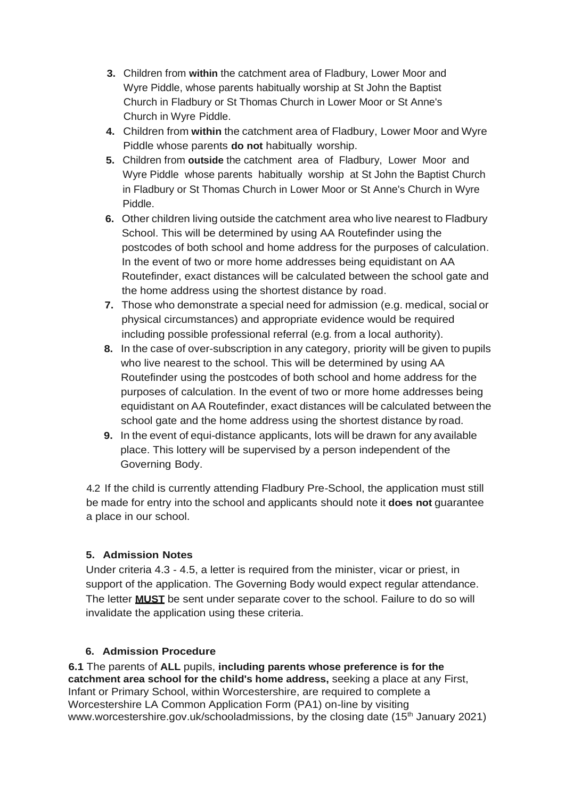- **3.** Children from **within** the catchment area of Fladbury, Lower Moor and Wyre Piddle, whose parents habitually worship at St John the Baptist Church in Fladbury or St Thomas Church in Lower Moor or St Anne's Church in Wyre Piddle.
- **4.** Children from **within** the catchment area of Fladbury, Lower Moor and Wyre Piddle whose parents **do not** habitually worship.
- **5.** Children from **outside** the catchment area of Fladbury, Lower Moor and Wyre Piddle whose parents habitually worship at St John the Baptist Church in Fladbury or St Thomas Church in Lower Moor or St Anne's Church in Wyre Piddle.
- **6.** Other children living outside the catchment area who live nearest to Fladbury School. This will be determined by using AA Routefinder using the postcodes of both school and home address for the purposes of calculation. In the event of two or more home addresses being equidistant on AA Routefinder, exact distances will be calculated between the school gate and the home address using the shortest distance by road.
- **7.** Those who demonstrate a special need for admission (e.g. medical, social or physical circumstances) and appropriate evidence would be required including possible professional referral (e.g. from a local authority).
- **8.** In the case of over-subscription in any category, priority will be given to pupils who live nearest to the school. This will be determined by using AA Routefinder using the postcodes of both school and home address for the purposes of calculation. In the event of two or more home addresses being equidistant on AA Routefinder, exact distances will be calculated between the school gate and the home address using the shortest distance by road.
- **9.** In the event of equi-distance applicants, lots will be drawn for any available place. This lottery will be supervised by a person independent of the Governing Body.

4.2 If the child is currently attending Fladbury Pre-School, the application must still be made for entry into the school and applicants should note it **does not** guarantee a place in our school.

# **5. Admission Notes**

Under criteria 4.3 - 4.5, a letter is required from the minister, vicar or priest, in support of the application. The Governing Body would expect regular attendance. The letter **MUST** be sent under separate cover to the school. Failure to do so will invalidate the application using these criteria.

# **6. Admission Procedure**

**6.1** The parents of **ALL** pupils, **including parents whose preference is for the catchment area school for the child's home address,** seeking a place at any First, Infant or Primary School, within Worcestershire, are required to complete a Worcestershire LA Common Application Form (PA1) on-line by visiting [www.worcestershire.gov.uk/schooladmissions, b](http://www.worcestershire.gov.uk/schooladmissions)y the closing date (15<sup>th</sup> January 2021)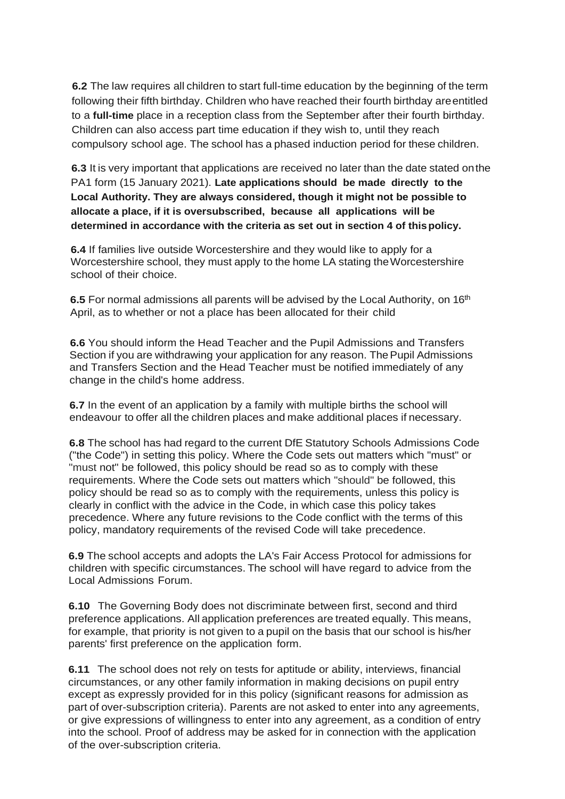**6.2** The law requires all children to start full-time education by the beginning of the term following their fifth birthday. Children who have reached their fourth birthday areentitled to a **full-time** place in a reception class from the September after their fourth birthday. Children can also access part time education if they wish to, until they reach compulsory school age. The school has a phased induction period for these children.

**6.3** It is very important that applications are received no later than the date stated onthe PA1 form (15 January 2021). **Late applications should be made directly to the Local Authority. They are always considered, though it might not be possible to allocate a place, if it is oversubscribed, because all applications will be determined in accordance with the criteria as set out in section 4 of thispolicy.**

**6.4** If families live outside Worcestershire and they would like to apply for a Worcestershire school, they must apply to the home LA stating theWorcestershire school of their choice.

**6.5** For normal admissions all parents will be advised by the Local Authority, on 16<sup>th</sup> April, as to whether or not a place has been allocated for their child

**6.6** You should inform the Head Teacher and the Pupil Admissions and Transfers Section if you are withdrawing your application for any reason. The Pupil Admissions and Transfers Section and the Head Teacher must be notified immediately of any change in the child's home address.

**6.7** In the event of an application by a family with multiple births the school will endeavour to offer all the children places and make additional places if necessary.

**6.8** The school has had regard to the current DfE Statutory Schools Admissions Code ("the Code") in setting this policy. Where the Code sets out matters which "must" or "must not" be followed, this policy should be read so as to comply with these requirements. Where the Code sets out matters which "should" be followed, this policy should be read so as to comply with the requirements, unless this policy is clearly in conflict with the advice in the Code, in which case this policy takes precedence. Where any future revisions to the Code conflict with the terms of this policy, mandatory requirements of the revised Code will take precedence.

**6.9** The school accepts and adopts the LA's Fair Access Protocol for admissions for children with specific circumstances. The school will have regard to advice from the Local Admissions Forum.

**6.10** The Governing Body does not discriminate between first, second and third preference applications. All application preferences are treated equally. This means, for example, that priority is not given to a pupil on the basis that our school is his/her parents' first preference on the application form.

**6.11** The school does not rely on tests for aptitude or ability, interviews, financial circumstances, or any other family information in making decisions on pupil entry except as expressly provided for in this policy (significant reasons for admission as part of over-subscription criteria). Parents are not asked to enter into any agreements, or give expressions of willingness to enter into any agreement, as a condition of entry into the school. Proof of address may be asked for in connection with the application of the over-subscription criteria.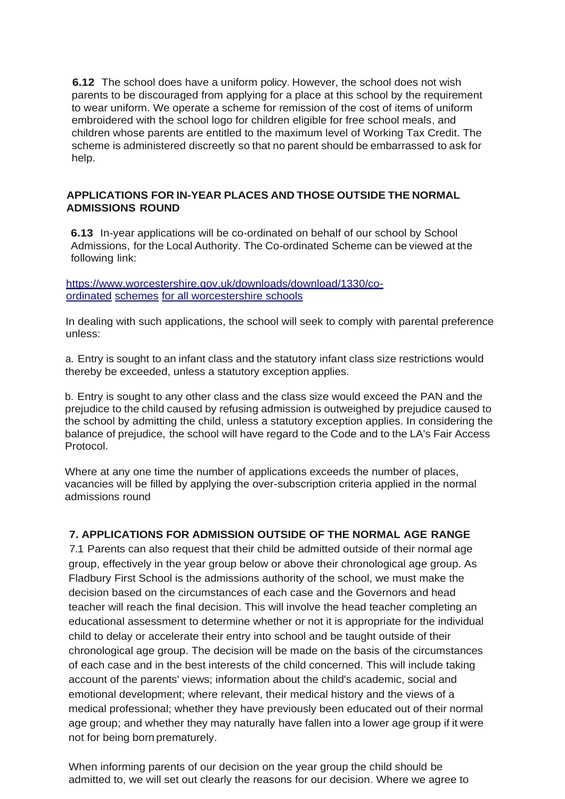**6.12** The school does have a uniform policy. However, the school does not wish parents to be discouraged from applying for a place at this school by the requirement to wear uniform. We operate a scheme for remission of the cost of items of uniform embroidered with the school logo for children eligible for free school meals, and children whose parents are entitled to the maximum level of Working Tax Credit. The scheme is administered discreetly so that no parent should be embarrassed to ask for help.

#### **APPLICATIONS FOR IN-YEAR PLACES AND THOSE OUTSIDE THE NORMAL ADMISSIONS ROUND**

**6.13** In-year applications will be co-ordinated on behalf of our school by School Admissions, for the Local Authority. The Co-ordinated Scheme can be viewed at the following link:

https:/[/www.worcestershire.gov.uk/downloads/download/1330/co](http://www.worcestershire.gov.uk/downloads/download/1330/co)ordinated schemes for all worcestershire schools

In dealing with such applications, the school will seek to comply with parental preference unless:

a. Entry is sought to an infant class and the statutory infant class size restrictions would thereby be exceeded, unless a statutory exception applies.

b. Entry is sought to any other class and the class size would exceed the PAN and the prejudice to the child caused by refusing admission is outweighed by prejudice caused to the school by admitting the child, unless a statutory exception applies. In considering the balance of prejudice, the school will have regard to the Code and to the LA's Fair Access Protocol.

Where at any one time the number of applications exceeds the number of places, vacancies will be filled by applying the over-subscription criteria applied in the normal admissions round

# **7. APPLICATIONS FOR ADMISSION OUTSIDE OF THE NORMAL AGE RANGE**

7.1 Parents can also request that their child be admitted outside of their normal age group, effectively in the year group below or above their chronological age group. As Fladbury First School is the admissions authority of the school, we must make the decision based on the circumstances of each case and the Governors and head teacher will reach the final decision. This will involve the head teacher completing an educational assessment to determine whether or not it is appropriate for the individual child to delay or accelerate their entry into school and be taught outside of their chronological age group. The decision will be made on the basis of the circumstances of each case and in the best interests of the child concerned. This will include taking account of the parents' views; information about the child's academic, social and emotional development; where relevant, their medical history and the views of a medical professional; whether they have previously been educated out of their normal age group; and whether they may naturally have fallen into a lower age group if it were not for being born prematurely.

When informing parents of our decision on the year group the child should be admitted to, we will set out clearly the reasons for our decision. Where we agree to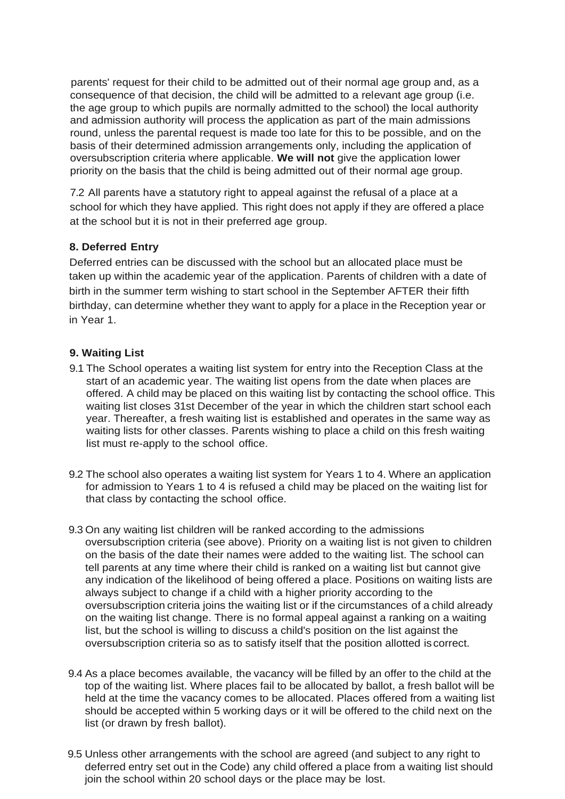parents' request for their child to be admitted out of their normal age group and, as a consequence of that decision, the child will be admitted to a relevant age group (i.e. the age group to which pupils are normally admitted to the school) the local authority and admission authority will process the application as part of the main admissions round, unless the parental request is made too late for this to be possible, and on the basis of their determined admission arrangements only, including the application of oversubscription criteria where applicable. **We will not** give the application lower priority on the basis that the child is being admitted out of their normal age group.

7.2 All parents have a statutory right to appeal against the refusal of a place at a school for which they have applied. This right does not apply if they are offered a place at the school but it is not in their preferred age group.

# **8. Deferred Entry**

Deferred entries can be discussed with the school but an allocated place must be taken up within the academic year of the application. Parents of children with a date of birth in the summer term wishing to start school in the September AFTER their fifth birthday, can determine whether they want to apply for a place in the Reception year or in Year 1.

#### **9. Waiting List**

- 9.1 The School operates a waiting list system for entry into the Reception Class at the start of an academic year. The waiting list opens from the date when places are offered. A child may be placed on this waiting list by contacting the school office. This waiting list closes 31st December of the year in which the children start school each year. Thereafter, a fresh waiting list is established and operates in the same way as waiting lists for other classes. Parents wishing to place a child on this fresh waiting list must re-apply to the school office.
- 9.2 The school also operates a waiting list system for Years 1 to 4. Where an application for admission to Years 1 to 4 is refused a child may be placed on the waiting list for that class by contacting the school office.
- 9.3 On any waiting list children will be ranked according to the admissions oversubscription criteria (see above). Priority on a waiting list is not given to children on the basis of the date their names were added to the waiting list. The school can tell parents at any time where their child is ranked on a waiting list but cannot give any indication of the likelihood of being offered a place. Positions on waiting lists are always subject to change if a child with a higher priority according to the oversubscription criteria joins the waiting list or if the circumstances of a child already on the waiting list change. There is no formal appeal against a ranking on a waiting list, but the school is willing to discuss a child's position on the list against the oversubscription criteria so as to satisfy itself that the position allotted iscorrect.
- 9.4 As a place becomes available, the vacancy will be filled by an offer to the child at the top of the waiting list. Where places fail to be allocated by ballot, a fresh ballot will be held at the time the vacancy comes to be allocated. Places offered from a waiting list should be accepted within 5 working days or it will be offered to the child next on the list (or drawn by fresh ballot).
- 9.5 Unless other arrangements with the school are agreed (and subject to any right to deferred entry set out in the Code) any child offered a place from a waiting list should join the school within 20 school days or the place may be lost.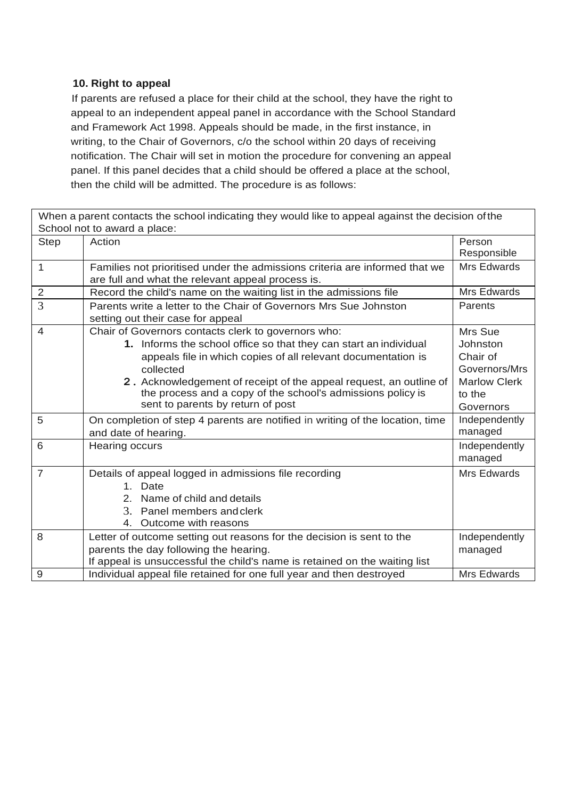### **10. Right to appeal**

If parents are refused a place for their child at the school, they have the right to appeal to an independent appeal panel in accordance with the School Standard and Framework Act 1998. Appeals should be made, in the first instance, in writing, to the Chair of Governors, c/o the school within 20 days of receiving notification. The Chair will set in motion the procedure for convening an appeal panel. If this panel decides that a child should be offered a place at the school, then the child will be admitted. The procedure is as follows:

| When a parent contacts the school indicating they would like to appeal against the decision of the |                                                                                                                                                                                                                                                                                                                                                                                  |                                                                                                |
|----------------------------------------------------------------------------------------------------|----------------------------------------------------------------------------------------------------------------------------------------------------------------------------------------------------------------------------------------------------------------------------------------------------------------------------------------------------------------------------------|------------------------------------------------------------------------------------------------|
|                                                                                                    | School not to award a place:                                                                                                                                                                                                                                                                                                                                                     |                                                                                                |
| <b>Step</b>                                                                                        | Action                                                                                                                                                                                                                                                                                                                                                                           | Person<br>Responsible                                                                          |
| $\mathbf{1}$                                                                                       | Families not prioritised under the admissions criteria are informed that we<br>are full and what the relevant appeal process is.                                                                                                                                                                                                                                                 | Mrs Edwards                                                                                    |
| $\overline{2}$                                                                                     | Record the child's name on the waiting list in the admissions file                                                                                                                                                                                                                                                                                                               | Mrs Edwards                                                                                    |
| 3                                                                                                  | Parents write a letter to the Chair of Governors Mrs Sue Johnston<br>setting out their case for appeal                                                                                                                                                                                                                                                                           | Parents                                                                                        |
| $\overline{4}$                                                                                     | Chair of Governors contacts clerk to governors who:<br>1. Informs the school office so that they can start an individual<br>appeals file in which copies of all relevant documentation is<br>collected<br>2. Acknowledgement of receipt of the appeal request, an outline of<br>the process and a copy of the school's admissions policy is<br>sent to parents by return of post | Mrs Sue<br>Johnston<br>Chair of<br>Governors/Mrs<br><b>Marlow Clerk</b><br>to the<br>Governors |
| 5                                                                                                  | On completion of step 4 parents are notified in writing of the location, time<br>and date of hearing.                                                                                                                                                                                                                                                                            | Independently<br>managed                                                                       |
| 6                                                                                                  | Hearing occurs                                                                                                                                                                                                                                                                                                                                                                   | Independently<br>managed                                                                       |
| $\overline{7}$                                                                                     | Details of appeal logged in admissions file recording<br>Date<br>$1_{-}$<br>Name of child and details<br>$2_{-}$<br>3.<br>Panel members and clerk<br>4. Outcome with reasons                                                                                                                                                                                                     | Mrs Edwards                                                                                    |
| 8                                                                                                  | Letter of outcome setting out reasons for the decision is sent to the<br>parents the day following the hearing.<br>If appeal is unsuccessful the child's name is retained on the waiting list                                                                                                                                                                                    | Independently<br>managed                                                                       |
| 9                                                                                                  | Individual appeal file retained for one full year and then destroyed                                                                                                                                                                                                                                                                                                             | Mrs Edwards                                                                                    |